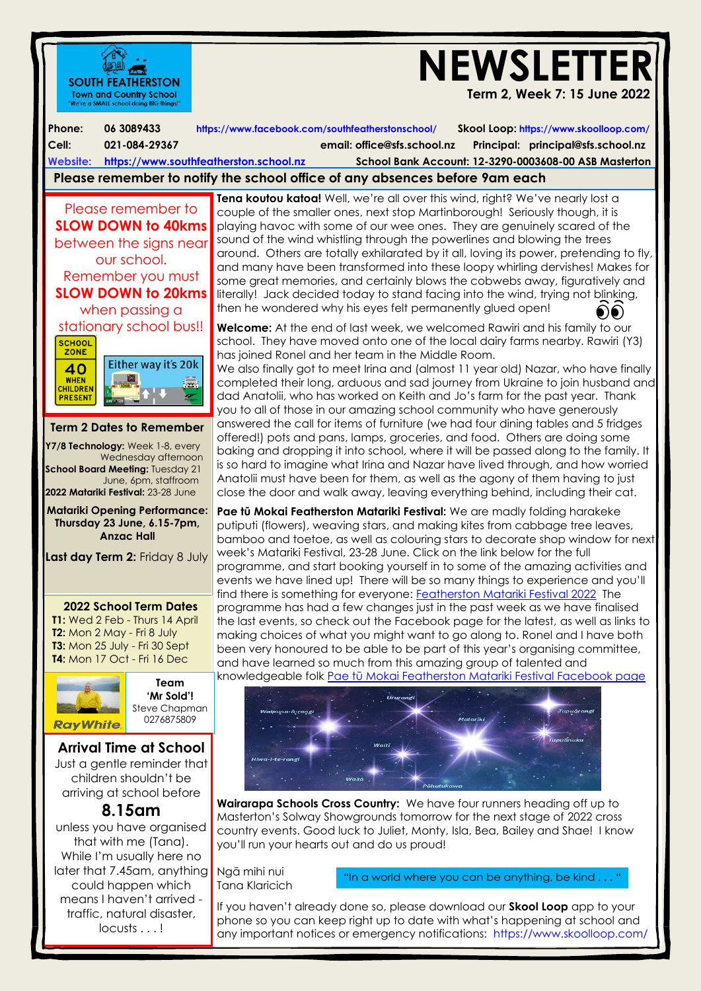